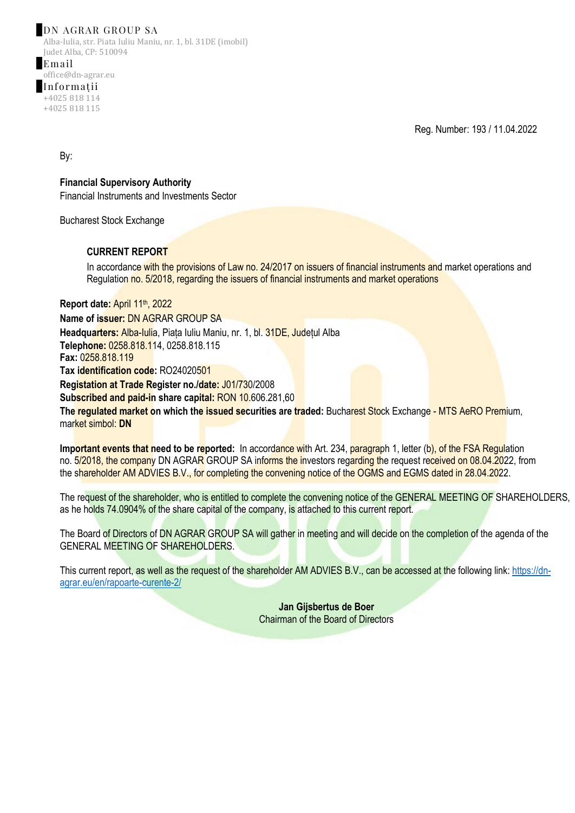## DN AGRAR GROUP SA

Alba-Iulia, str. Piata Iuliu Maniu, nr. 1, bl. 31DE (imobil) Judet Alba, CP: 510094

Email office@dn-agrar.eu Informații +4025 818 114 +4025 818 115

Reg. Number: 193 / 11.04.2022

By:

**Financial Supervisory Authority** Financial Instruments and Investments Sector

Bucharest Stock Exchange

## **CURRENT REPORT**

In accordance with the provisions of Law no. 24/2017 on issuers of financial instruments and market operations and Regulation no. 5/2018, regarding the issuers of financial instruments and market operations

**Report date:** April 11th, 2022 **Name of issuer:** DN AGRAR GROUP SA **Headquarters:** Alba-Iulia, Piața Iuliu Maniu, nr. 1, bl. 31DE, Județul Alba **Telephone:** 0258.818.114, 0258.818.115 **Fax:** 0258.818.119 **Tax identification code:** RO24020501 **Registation at Trade Register no./date:** J01/730/2008 **Subscribed and paid-in share capital:** RON 10.606.281,60 **The regulated market on which the issued securities are traded:** Bucharest Stock Exchange - MTS AeRO Premium, market simbol: **DN**

**Important events that need to be reported:** In accordance with Art. 234, paragraph 1, letter (b), of the FSA Regulation no. 5/2018, the company DN AGRAR GROUP SA informs the investors regarding the request received on 08.04.2022, from the shareholder AM ADVIES B.V., for completing the convening notice of the OGMS and EGMS dated in 28.04.2022.

The request of the shareholder, who is entitled to complete the convening notice of the GENERAL MEETING OF SHAREHOLDERS, as he holds 74.0904% of the share capital of the company, is attached to this current report.

The Board of Directors of DN AGRAR GROUP SA will gather in meeting and will decide on the completion of the agenda of the GENERAL MEETING OF SHAREHOLDERS.

This current report, as well as the request of the shareholder AM ADVIES B.V., can be accessed at the following link: [https://dn](https://dn-agrar.eu/en/rapoarte-curente-2/)[agrar.eu/en/rapoarte-curente-2/](https://dn-agrar.eu/en/rapoarte-curente-2/)

> **Jan Gijsbertus de Boer** Chairman of the Board of Directors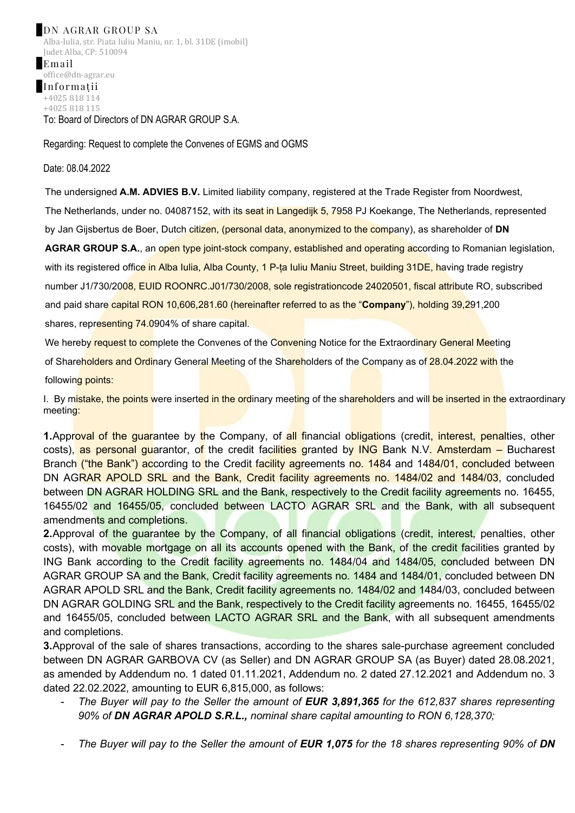Regarding: Request to complete the Convenes of EGMS and OGMS

## Date: 08.04.2022

The undersigned **A.M. ADVIES B.V.** Limited liability company, registered at the Trade Register from Noordwest, The Netherlands, under no. 04087152, with its seat in Langedijk 5, 7958 PJ Koekange, The Netherlands, represented by Jan Gijsbertus de Boer, Dutch citizen, (personal data, anonymized to the company), as shareholder of **DN** 

**AGRAR GROUP S.A.**, an open type joint-stock company, established and operating according to Romanian legislation, with its registered office in Alba Iulia, Alba County, 1 P-ța Iuliu Maniu Street, building 31DE, having trade registry number J1/730/2008, EUID ROONRC.J01/730/2008, sole registrationcode 24020501, fiscal attribute RO, subscribed and paid share capital RON 10,606,281.60 (hereinafter referred to as the "**Company**"), holding 39,291,200 shares, representing 74.0904% of share capital.

We hereby request to complete the Convenes of the Convening Notice for the Extraordinary General Meeting

of Shareholders and Ordinary General Meeting of the Shareholders of the Company as of 28.04.2022 with the

following points:

I. By mistake, the points were inserted in the ordinary meeting of the shareholders and will be inserted in the extraordinary meeting:

**1.**Approval of the guarantee by the Company, of all financial obligations (credit, interest, penalties, other costs), as personal guarantor, of the credit facilities granted by ING Bank N.V. Amsterdam – Bucharest Branch ("the Bank") according to the Credit facility agreements no. 1484 and 1484/01, concluded between DN AGRAR APOLD SRL and the Bank, Credit facility agreements no. 1484/02 and 1484/03, concluded between DN AGRAR HOLDING SRL and the Bank, respectively to the Credit facility agreements no. 16455, 16455/02 and 16455/05, concluded between LACTO AGRAR SRL and the Bank, with all subsequent amendments and completions.

**2.**Approval of the guarantee by the Company, of all financial obligations (credit, interest, penalties, other costs), with movable mortgage on all its accounts opened with the Bank, of the credit facilities granted by ING Bank according to the Credit facility agreements no. 1484/04 and 1484/05, concluded between DN AGRAR GROUP SA and the Bank, Credit facility agreements no. 1484 and 1484/01, concluded between DN AGRAR APOLD SRL and the Bank, Credit facility agreements no. 1484/02 and 1484/03, concluded between DN AGRAR GOLDING SRL and the Bank, respectively to the Credit facility agreements no. 16455, 16455/02 and 16455/05, concluded between LACTO AGRAR SRL and the Bank, with all subsequent amendments and completions.

**3.**Approval of the sale of shares transactions, according to the shares sale-purchase agreement concluded between DN AGRAR GARBOVA CV (as Seller) and DN AGRAR GROUP SA (as Buyer) dated 28.08.2021, as amended by Addendum no. 1 dated 01.11.2021, Addendum no. 2 dated 27.12.2021 and Addendum no. 3 dated 22.02.2022, amounting to EUR 6,815,000, as follows:

- *The Buyer will pay to the Seller the amount of EUR 3,891,365 for the 612,837 shares representing 90% of DN AGRAR APOLD S.R.L., nominal share capital amounting to RON 6,128,370;*
- *The Buyer will pay to the Seller the amount of EUR 1,075 for the 18 shares representing 90% of DN*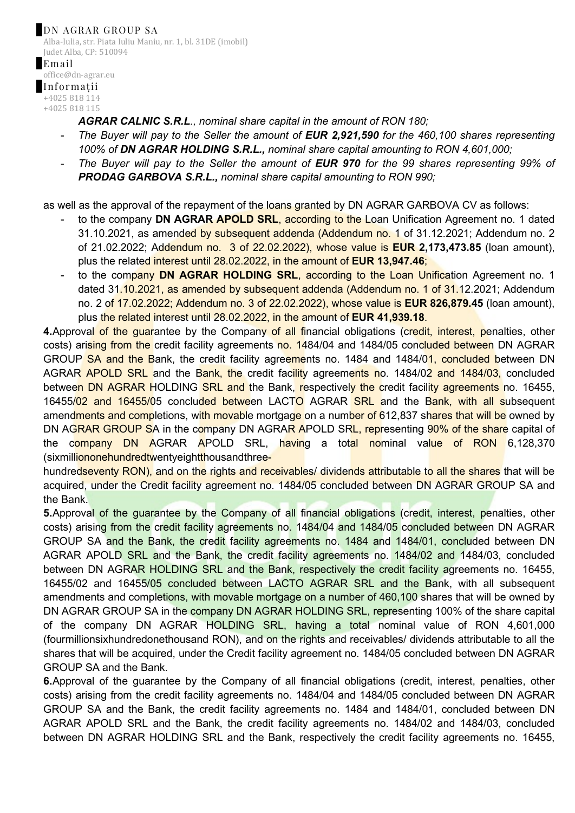*AGRAR CALNIC S.R.L., nominal share capital in the amount of RON 180;*

- *The Buyer will pay to the Seller the amount of EUR 2,921,590 for the 460,100 shares representing 100% of DN AGRAR HOLDING S.R.L., nominal share capital amounting to RON 4,601,000;*
- *The Buyer will pay to the Seller the amount of EUR 970 for the 99 shares representing 99% of PRODAG GARBOVA S.R.L., nominal share capital amounting to RON 990;*

as well as the approval of the repayment of the loans granted by DN AGRAR GARBOVA CV as follows:

- to the company **DN AGRAR APOLD SRL**, according to the Loan Unification Agreement no. 1 dated 31.10.2021, as amended by subsequent addenda (Addendum no. 1 of 31.12.2021; Addendum no. 2 of 21.02.2022; Addendum no. 3 of 22.02.2022), whose value is **EUR 2,173,473.85** (loan amount), plus the related interest until 28.02.2022, in the amount of **EUR 13,947.46**;
- to the company **DN AGRAR HOLDING SRL**, according to the Loan Unification Agreement no. 1 dated 31.10.2021, as amended by subsequent addenda (Addendum no. 1 of 31.12.2021; Addendum no. 2 of 17.02.2022; Addendum no. 3 of 22.02.2022), whose value is **EUR 826,879.45** (loan amount), plus the related interest until 28.02.2022, in the amount of **EUR 41,939.18**.

**4.**Approval of the guarantee by the Company of all financial obligations (credit, interest, penalties, other costs) arising from the credit facility agreements no. 1484/04 and 1484/05 concluded between DN AGRAR GROUP SA and the Bank, the credit facility agreements no. 1484 and 1484/01, concluded between DN AGRAR APOLD SRL and the Bank, the credit facility agreements no. 1484/02 and 1484/03, concluded between DN AGRAR HOLDING SRL and the Bank, respectively the credit facility agreements no. 16455, 16455/02 and 16455/05 concluded between LACTO AGRAR SRL and the Bank, with all subsequent amendments and completions, with movable mortgage on a number of 612,837 shares that will be owned by DN AGRAR GROUP SA in the company DN AGRAR APOLD SRL, representing 90% of the share capital of the company DN AGRAR APOLD SRL, having a total nominal value of RON 6,128,370 (sixmilliononehundredtwentyeightthousandthree-

hundredseventy RON), and on the rights and receivables/ dividends attributable to all the shares that will be acquired, under the Credit facility agreement no. 1484/05 concluded between DN AGRAR GROUP SA and the Bank.

**5.**Approval of the quarantee by the Company of all financial obligations (credit, interest, penalties, other costs) arising from the credit facility agreements no. 1484/04 and 1484/05 concluded between DN AGRAR GROUP SA and the Bank, the credit facility agreements no. 1484 and 1484/01, concluded between DN AGRAR APOLD SRL and the Bank, the credit facility agreements no. 1484/02 and 1484/03, concluded between DN AGRAR HOLDING SRL and the Bank, respectively the credit facility agreements no. 16455, 16455/02 and 16455/05 concluded between LACTO AGRAR SRL and the Bank, with all subsequent amendments and completions, with movable mortgage on a number of 460,100 shares that will be owned by DN AGRAR GROUP SA in the company DN AGRAR HOLDING SRL, representing 100% of the share capital of the company DN AGRAR HOLDING SRL, having a total nominal value of RON 4,601,000 (fourmillionsixhundredonethousand RON), and on the rights and receivables/ dividends attributable to all the shares that will be acquired, under the Credit facility agreement no. 1484/05 concluded between DN AGRAR GROUP SA and the Bank.

**6.**Approval of the guarantee by the Company of all financial obligations (credit, interest, penalties, other costs) arising from the credit facility agreements no. 1484/04 and 1484/05 concluded between DN AGRAR GROUP SA and the Bank, the credit facility agreements no. 1484 and 1484/01, concluded between DN AGRAR APOLD SRL and the Bank, the credit facility agreements no. 1484/02 and 1484/03, concluded between DN AGRAR HOLDING SRL and the Bank, respectively the credit facility agreements no. 16455,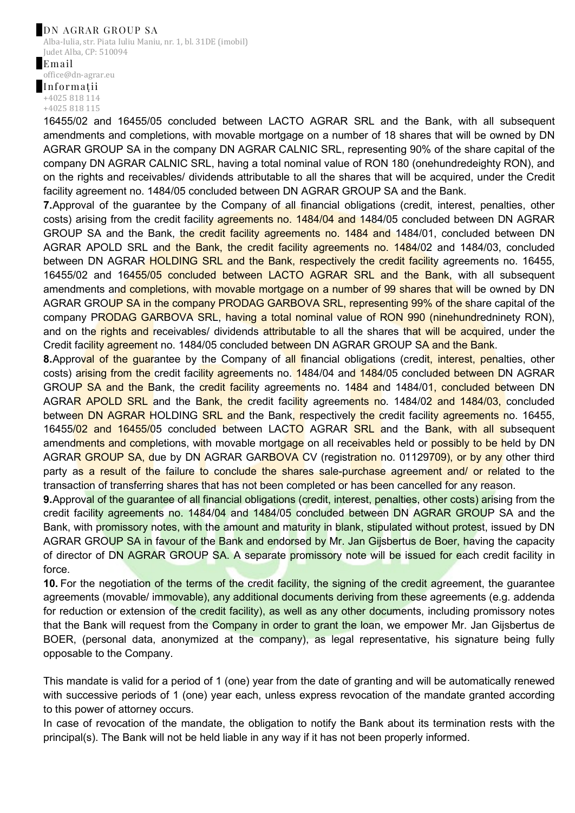## DN AGRAR GROUP SA

Alba-Iulia, str. Piata Iuliu Maniu, nr. 1, bl. 31DE (imobil) Judet Alba, CP: 510094

Email office@dn-agrar.eu Informații +4025 818 114 +4025 818 115

16455/02 and 16455/05 concluded between LACTO AGRAR SRL and the Bank, with all subsequent amendments and completions, with movable mortgage on a number of 18 shares that will be owned by DN AGRAR GROUP SA in the company DN AGRAR CALNIC SRL, representing 90% of the share capital of the company DN AGRAR CALNIC SRL, having a total nominal value of RON 180 (onehundredeighty RON), and on the rights and receivables/ dividends attributable to all the shares that will be acquired, under the Credit facility agreement no. 1484/05 concluded between DN AGRAR GROUP SA and the Bank.

**7.**Approval of the guarantee by the Company of all financial obligations (credit, interest, penalties, other costs) arising from the credit facility agreements no. 1484/04 and 1484/05 concluded between DN AGRAR GROUP SA and the Bank, the credit facility agreements no. 1484 and 1484/01, concluded between DN AGRAR APOLD SRL and the Bank, the credit facility agreements no. 1484/02 and 1484/03, concluded between DN AGRAR HOLDING SRL and the Bank, respectively the credit facility agreements no. 16455, 16455/02 and 16455/05 concluded between LACTO AGRAR SRL and the Bank, with all subsequent amendments and completions, with movable mortgage on a number of 99 shares that will be owned by DN AGRAR GROUP SA in the company PRODAG GARBOVA SRL, representing 99% of the share capital of the company PRODAG GARBOVA SRL, having a total nominal value of RON 990 (ninehundredninety RON), and on the rights and receivables/ dividends attributable to all the shares that will be acquired, under the Credit facility agreement no. 1484/05 concluded between DN AGRAR GROUP SA and the Bank.

**8.**Approval of the quarantee by the Company of all financial obligations (credit, interest, penalties, other costs) arising from the credit facility agreements no. 1484/04 and 1484/05 concluded between DN AGRAR GROUP SA and the Bank, the credit facility agreements no. 1484 and 1484/01, concluded between DN AGRAR APOLD SRL and the Bank, the credit facility agreements no. 1484/02 and 1484/03, concluded between DN AGRAR HOLDING SRL and the Bank, respectively the credit facility agreements no. 16455, 16455/02 and 16455/05 concluded between LACTO AGRAR SRL and the Bank, with all subsequent amendments and completions, with movable mortgage on all receivables held or possibly to be held by DN AGRAR GROUP SA, due by DN AGRAR GARBOVA CV (registration no. 01129709), or by any other third party as a result of the failure to conclude the shares sale-purchase agreement and/ or related to the transaction of transferring shares that has not been completed or has been cancelled for any reason.

**9.**Approval of the guarantee of all financial obligations (credit, interest, penalties, other costs) arising from the credit facility agreements no. 1484/04 and 1484/05 concluded between DN AGRAR GROUP SA and the Bank, with promissory notes, with the amount and maturity in blank, stipulated without protest, issued by DN AGRAR GROUP SA in favour of the Bank and endorsed by Mr. Jan Gijsbertus de Boer, having the capacity of director of DN AGRAR GROUP SA. A separate promissory note will be issued for each credit facility in force.

**10.** For the negotiation of the terms of the credit facility, the signing of the credit agreement, the guarantee agreements (movable/ immovable), any additional documents deriving from these agreements (e.g. addenda for reduction or extension of the credit facility), as well as any other documents, including promissory notes that the Bank will request from the Company in order to grant the loan, we empower Mr. Jan Gijsbertus de BOER, (personal data, anonymized at the company), as legal representative, his signature being fully opposable to the Company.

This mandate is valid for a period of 1 (one) year from the date of granting and will be automatically renewed with successive periods of 1 (one) year each, unless express revocation of the mandate granted according to this power of attorney occurs.

In case of revocation of the mandate, the obligation to notify the Bank about its termination rests with the principal(s). The Bank will not be held liable in any way if it has not been properly informed.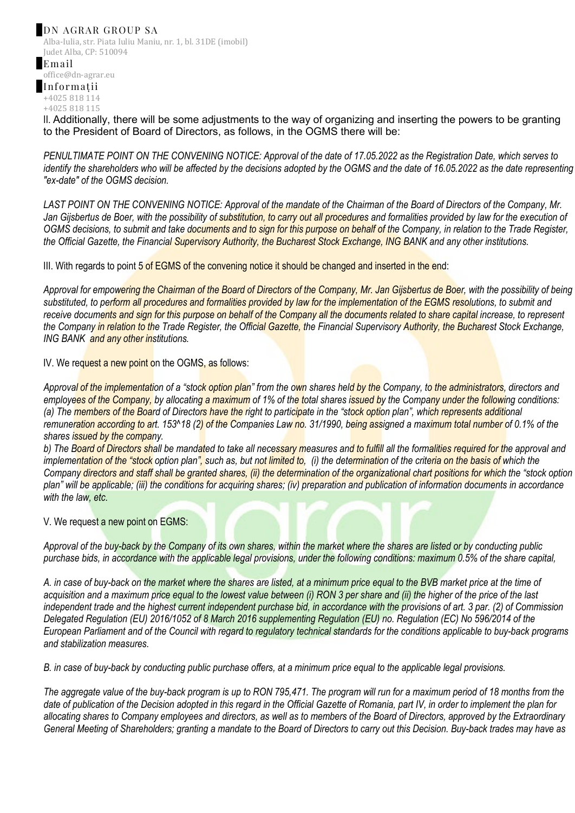Alba-Iulia, str. Piata Iuliu Maniu, nr. 1, bl. 31DE (imobil) Judet Alba, CP: 510094 Email

office@dn-agrar.eu Informații +4025 818 114 +4025 818 115

II. Additionally, there will be some adjustments to the way of organizing and inserting the powers to be granting to the President of Board of Directors, as follows, in the OGMS there will be:

*PENULTIMATE POINT ON THE CONVENING NOTICE: Approval of the date of 17.05.2022 as the Registration Date, which serves to identify the shareholders who will be affected by the decisions adopted by the OGMS and the date of 16.05.2022 as the date representing "ex-date" of the OGMS decision.*

*LAST POINT ON THE CONVENING NOTICE: Approval of the mandate of the Chairman of the Board of Directors of the Company, Mr. Jan Gijsbertus de Boer, with the possibility of substitution, to carry out all procedures and formalities provided by law for the execution of OGMS decisions, to submit and take documents and to sign for this purpose on behalf of the Company, in relation to the Trade Register, the Official Gazette, the Financial Supervisory Authority, the Bucharest Stock Exchange, ING BANK and any other institutions.*

III. With regards to point 5 of EGMS of the convening notice it should be changed and inserted in the end:

Approval for empowering the Chairman of the Board of Directors of the Company, Mr. Jan Gijsbertus de Boer, with the possibility of being *substituted, to perform all procedures and formalities provided by law for the implementation of the EGMS resolutions, to submit and*  receive documents and sign for this purpose on behalf of the Company all the documents related to share capital increase, to represent *the Company in relation to the Trade Register, the Official Gazette, the Financial Supervisory Authority, the Bucharest Stock Exchange, ING BANK and any other institutions.*

IV. We request a new point on the OGMS, as follows:

*Approval of the implementation of a "stock option plan" from the own shares held by the Company, to the administrators, directors and employees of the Company, by allocating a maximum of 1% of the total shares issued by the Company under the following conditions: (a) The members of the Board of Directors have the right to participate in the "stock option plan", which represents additional* remuneration according to art. 153<sup>^</sup>18 (2) of the Companies Law no. 31/1990, being assigned a maximum total number of 0.1% of the *shares issued by the company.*

*b) The Board of Directors shall be mandated to take all necessary measures and to fulfill all the formalities required for the approval and implementation of the "stock option plan", such as, but not limited to. (i) the determination of the criteria on the basis of which the Company directors and staff shall be granted shares, (ii) the determination of the organizational chart positions for which the "stock option plan" will be applicable; (iii) the conditions for acquiring shares; (iv) preparation and publication of information documents in accordance with the law, etc.*

V. We request a new point on EGMS:

*Approval of the buy-back by the Company of its own shares, within the market where the shares are listed or by conducting public purchase bids, in accordance with the applicable legal provisions, under the following conditions: maximum 0.5% of the share capital,* 

*A. in case of buy-back on the market where the shares are listed, at a minimum price equal to the BVB market price at the time of acquisition and a maximum price equal to the lowest value between (i) RON 3 per share and (ii) the higher of the price of the last independent trade and the highest current independent purchase bid, in accordance with the provisions of art. 3 par. (2) of Commission Delegated Regulation (EU) 2016/1052 of 8 March 2016 supplementing Regulation (EU) no. Regulation (EC) No 596/2014 of the European Parliament and of the Council with regard to regulatory technical standards for the conditions applicable to buy-back programs and stabilization measures.*

*B. in case of buy-back by conducting public purchase offers, at a minimum price equal to the applicable legal provisions.* 

*The aggregate value of the buy-back program is up to RON 795,471. The program will run for a maximum period of 18 months from the date of publication of the Decision adopted in this regard in the Official Gazette of Romania, part IV, in order to implement the plan for allocating shares to Company employees and directors, as well as to members of the Board of Directors, approved by the Extraordinary General Meeting of Shareholders; granting a mandate to the Board of Directors to carry out this Decision. Buy-back trades may have as*